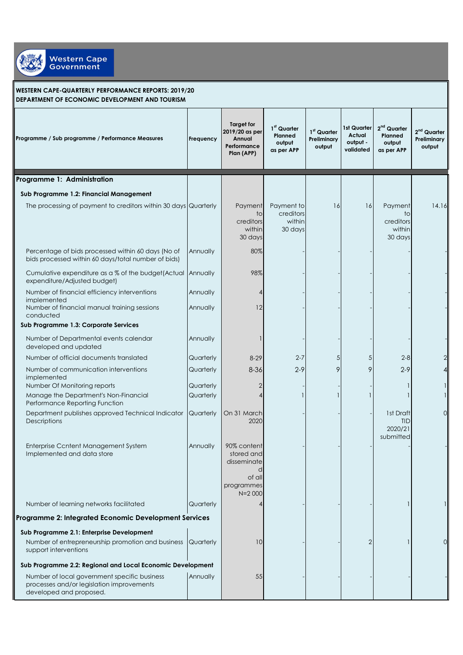

## **WESTERN CAPE-QUARTERLY PERFORMANCE REPORTS: 2019/20 DEPARTMENT OF ECONOMIC DEVELOPMENT AND TOURISM**

| Programme / Sub programme / Performance Measures                                                                     | Frequency              | <b>Target for</b><br>2019/20 as per<br>Annual<br>Performance<br>Plan (APP)     | 1st Quarter<br>Planned<br>output<br>as per APP | 1st Quarter<br>Preliminary<br>output | 1st Quarter<br>Actual<br>output -<br>validated | 2 <sup>nd</sup> Quarter<br>Planned<br>output<br>as per APP | 2 <sup>nd</sup> Quarter<br>Preliminary<br>output |
|----------------------------------------------------------------------------------------------------------------------|------------------------|--------------------------------------------------------------------------------|------------------------------------------------|--------------------------------------|------------------------------------------------|------------------------------------------------------------|--------------------------------------------------|
| Programme 1: Administration                                                                                          |                        |                                                                                |                                                |                                      |                                                |                                                            |                                                  |
| Sub Programme 1.2: Financial Management                                                                              |                        |                                                                                |                                                |                                      |                                                |                                                            |                                                  |
| The processing of payment to creditors within 30 days Quarterly                                                      |                        | Payment<br>to<br>creditors<br>within<br>30 days                                | Payment to<br>creditors<br>within<br>30 days   | 16                                   | 16                                             | Payment<br>to<br>creditors<br>within<br>30 days            | 14.16                                            |
| Percentage of bids processed within 60 days (No of<br>bids processed within 60 days/total number of bids)            | Annually               | 80%                                                                            |                                                |                                      |                                                |                                                            |                                                  |
| Cumulative expenditure as a % of the budget(Actual<br>expenditure/Adjusted budget)                                   | Annually               | 98%                                                                            |                                                |                                      |                                                |                                                            |                                                  |
| Number of financial efficiency interventions<br>implemented                                                          | Annually               | 4                                                                              |                                                |                                      |                                                |                                                            |                                                  |
| Number of financial manual training sessions<br>conducted                                                            | Annually               | 12                                                                             |                                                |                                      |                                                |                                                            |                                                  |
| Sub Programme 1.3: Corporate Services                                                                                |                        |                                                                                |                                                |                                      |                                                |                                                            |                                                  |
| Number of Departmental events calendar<br>developed and updated                                                      | Annually               |                                                                                |                                                |                                      |                                                |                                                            |                                                  |
| Number of official documents translated                                                                              | Quarterly              | $8-29$                                                                         | $2 - 7$                                        | 5                                    | 5                                              | $2 - 8$                                                    |                                                  |
| Number of communication interventions<br>implemented                                                                 | Quarterly              | $8 - 36$                                                                       | $2 - 9$                                        | 9                                    | 9                                              | $2 - 9$                                                    |                                                  |
| Number Of Monitoring reports<br>Manage the Department's Non-Financial                                                | Quarterly<br>Quarterly | 2<br>4                                                                         |                                                |                                      |                                                |                                                            |                                                  |
| Performance Reporting Function                                                                                       |                        |                                                                                |                                                |                                      |                                                |                                                            |                                                  |
| Department publishes approved Technical Indicator<br>Descriptions                                                    | Quarterly              | On 31 March<br>2020                                                            |                                                |                                      |                                                | 1st Draft<br><b>TID</b><br>2020/21<br>submitted            | 0                                                |
| Enterprise Ccntent Management System<br>Implemented and data store                                                   | Annually               | 90% content<br>stored and<br>disseminate<br>of all<br>programmes<br>$N = 2000$ |                                                |                                      |                                                |                                                            |                                                  |
| Number of learning networks facilitated                                                                              | Quarterly              |                                                                                |                                                |                                      |                                                |                                                            |                                                  |
| Programme 2: Integrated Economic Development Services                                                                |                        |                                                                                |                                                |                                      |                                                |                                                            |                                                  |
| Sub Programme 2.1: Enterprise Development                                                                            |                        |                                                                                |                                                |                                      |                                                |                                                            |                                                  |
| Number of entrepreneurship promotion and business<br>support interventions                                           | Quarterly              | 10                                                                             |                                                |                                      | 2                                              |                                                            | Ω                                                |
| Sub Programme 2.2: Regional and Local Economic Development                                                           |                        |                                                                                |                                                |                                      |                                                |                                                            |                                                  |
| Number of local government specific business<br>processes and/or legislation improvements<br>developed and proposed. | Annually               | 55                                                                             |                                                |                                      |                                                |                                                            |                                                  |
|                                                                                                                      |                        |                                                                                |                                                |                                      |                                                |                                                            |                                                  |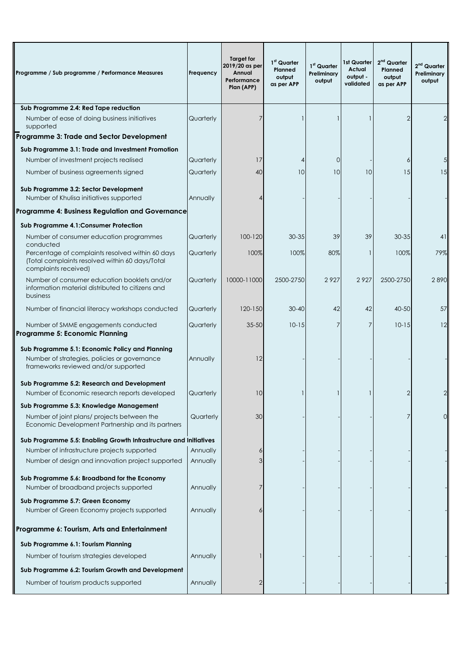| Programme / Sub programme / Performance Measures                                                                                        | Frequency | <b>Target for</b><br>2019/20 as per<br>Annual<br>Performance<br>Plan (APP) | 1 <sup>st</sup> Quarter<br>Planned<br>output<br>as per APP | 1st Quarter<br>Preliminary<br>output | 1st Quarter<br>Actual<br>output -<br>validated | $2nd$ Quarter<br>Planned<br>output<br>as per APP | $2nd$ Quarter<br>Preliminary<br>output |
|-----------------------------------------------------------------------------------------------------------------------------------------|-----------|----------------------------------------------------------------------------|------------------------------------------------------------|--------------------------------------|------------------------------------------------|--------------------------------------------------|----------------------------------------|
| Sub Programme 2.4: Red Tape reduction                                                                                                   |           |                                                                            |                                                            |                                      |                                                |                                                  |                                        |
| Number of ease of doing business initiatives<br>supported                                                                               | Quarterly | 7                                                                          |                                                            |                                      |                                                | $\overline{2}$                                   | $\overline{2}$                         |
| Programme 3: Trade and Sector Development                                                                                               |           |                                                                            |                                                            |                                      |                                                |                                                  |                                        |
| Sub Programme 3.1: Trade and Investment Promotion                                                                                       |           |                                                                            |                                                            |                                      |                                                |                                                  |                                        |
| Number of investment projects realised                                                                                                  | Quarterly | 17                                                                         | 4                                                          | $\overline{0}$                       |                                                | 6                                                | 5                                      |
| Number of business agreements signed                                                                                                    | Quarterly | 40                                                                         | 10                                                         | 10                                   | 10                                             | 15                                               | 15                                     |
| Sub Programme 3.2: Sector Development<br>Number of Khulisa initiatives supported                                                        | Annually  |                                                                            |                                                            |                                      |                                                |                                                  |                                        |
| Programme 4: Business Regulation and Governance                                                                                         |           |                                                                            |                                                            |                                      |                                                |                                                  |                                        |
| Sub Programme 4.1: Consumer Protection                                                                                                  |           |                                                                            |                                                            |                                      |                                                |                                                  |                                        |
| Number of consumer education programmes<br>conducted                                                                                    | Quarterly | 100-120                                                                    | $30 - 35$                                                  | 39                                   | 39                                             | 30-35                                            | 41                                     |
| Percentage of complaints resolved within 60 days<br>(Total complaints resolved within 60 days/Total<br>complaints received)             | Quarterly | 100%                                                                       | 100%                                                       | 80%                                  |                                                | 100%                                             | 79%                                    |
| Number of consumer education booklets and/or<br>information material distributed to citizens and<br>business                            | Quarterly | 10000-11000                                                                | 2500-2750                                                  | 2927                                 | 2927                                           | 2500-2750                                        | 2890                                   |
| Number of financial literacy workshops conducted                                                                                        | Quarterly | $120 - 150$                                                                | $30 - 40$                                                  | 42                                   | 42                                             | 40-50                                            | 57                                     |
| Number of SMME engagements conducted<br><b>Programme 5: Economic Planning</b>                                                           | Quarterly | $35 - 50$                                                                  | $10 - 15$                                                  | 7                                    | 7                                              | $10 - 15$                                        | 12                                     |
| Sub Programme 5.1: Economic Policy and Planning<br>Number of strategies, policies or governance<br>frameworks reviewed and/or supported | Annually  | 12                                                                         |                                                            |                                      |                                                |                                                  |                                        |
| Sub Programme 5.2: Research and Development<br>Number of Economic research reports developed                                            | Quarterly | 10                                                                         |                                                            |                                      |                                                | $\overline{2}$                                   | 2                                      |
| Sub Programme 5.3: Knowledge Management                                                                                                 |           |                                                                            |                                                            |                                      |                                                |                                                  |                                        |
| Number of joint plans/ projects between the<br>Economic Development Partnership and its partners                                        | Quarterly | 30                                                                         |                                                            |                                      |                                                | 7                                                | $\Omega$                               |
| Sub Programme 5.5: Enabling Growth Infrastructure and Initiatives                                                                       |           |                                                                            |                                                            |                                      |                                                |                                                  |                                        |
| Number of infrastructure projects supported                                                                                             | Annually  |                                                                            |                                                            |                                      |                                                |                                                  |                                        |
| Number of design and innovation project supported                                                                                       | Annually  |                                                                            |                                                            |                                      |                                                |                                                  |                                        |
| Sub Programme 5.6: Broadband for the Economy<br>Number of broadband projects supported                                                  | Annually  |                                                                            |                                                            |                                      |                                                |                                                  |                                        |
| Sub Programme 5.7: Green Economy<br>Number of Green Economy projects supported                                                          | Annually  |                                                                            |                                                            |                                      |                                                |                                                  |                                        |
| Programme 6: Tourism, Arts and Entertainment                                                                                            |           |                                                                            |                                                            |                                      |                                                |                                                  |                                        |
| Sub Programme 6.1: Tourism Planning                                                                                                     |           |                                                                            |                                                            |                                      |                                                |                                                  |                                        |
| Number of tourism strategies developed                                                                                                  | Annually  |                                                                            |                                                            |                                      |                                                |                                                  |                                        |
| Sub Programme 6.2: Tourism Growth and Development                                                                                       |           |                                                                            |                                                            |                                      |                                                |                                                  |                                        |
| Number of tourism products supported                                                                                                    | Annually  | 2                                                                          |                                                            |                                      |                                                |                                                  |                                        |